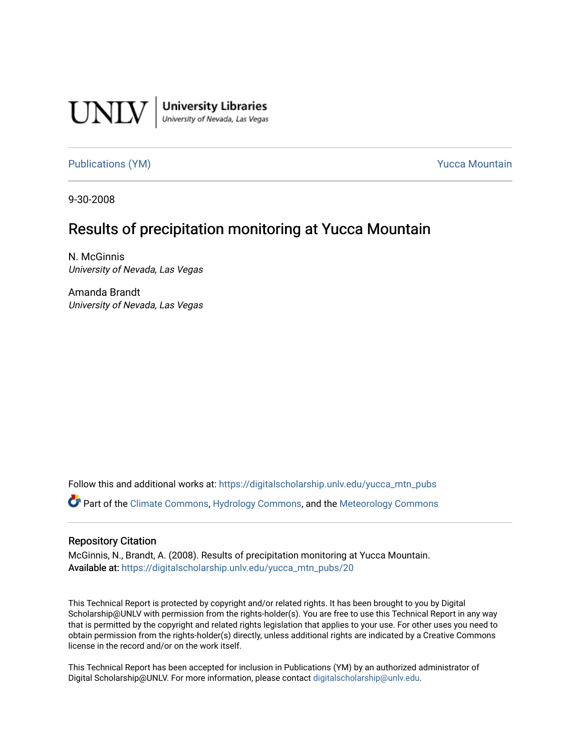

**University Libraries**<br>University of Nevada, Las Vegas

[Publications \(YM\)](https://digitalscholarship.unlv.edu/yucca_mtn_pubs) **Publications** (YM) **Publications** (YM)

9-30-2008

# Results of precipitation monitoring at Yucca Mountain

N. McGinnis University of Nevada, Las Vegas

Amanda Brandt University of Nevada, Las Vegas

Follow this and additional works at: [https://digitalscholarship.unlv.edu/yucca\\_mtn\\_pubs](https://digitalscholarship.unlv.edu/yucca_mtn_pubs?utm_source=digitalscholarship.unlv.edu%2Fyucca_mtn_pubs%2F20&utm_medium=PDF&utm_campaign=PDFCoverPages)

Part of the [Climate Commons,](http://network.bepress.com/hgg/discipline/188?utm_source=digitalscholarship.unlv.edu%2Fyucca_mtn_pubs%2F20&utm_medium=PDF&utm_campaign=PDFCoverPages) [Hydrology Commons,](http://network.bepress.com/hgg/discipline/1054?utm_source=digitalscholarship.unlv.edu%2Fyucca_mtn_pubs%2F20&utm_medium=PDF&utm_campaign=PDFCoverPages) and the [Meteorology Commons](http://network.bepress.com/hgg/discipline/190?utm_source=digitalscholarship.unlv.edu%2Fyucca_mtn_pubs%2F20&utm_medium=PDF&utm_campaign=PDFCoverPages)

#### Repository Citation

McGinnis, N., Brandt, A. (2008). Results of precipitation monitoring at Yucca Mountain. Available at: [https://digitalscholarship.unlv.edu/yucca\\_mtn\\_pubs/20](https://digitalscholarship.unlv.edu/yucca_mtn_pubs/20) 

This Technical Report is protected by copyright and/or related rights. It has been brought to you by Digital Scholarship@UNLV with permission from the rights-holder(s). You are free to use this Technical Report in any way that is permitted by the copyright and related rights legislation that applies to your use. For other uses you need to obtain permission from the rights-holder(s) directly, unless additional rights are indicated by a Creative Commons license in the record and/or on the work itself.

This Technical Report has been accepted for inclusion in Publications (YM) by an authorized administrator of Digital Scholarship@UNLV. For more information, please contact [digitalscholarship@unlv.edu](mailto:digitalscholarship@unlv.edu).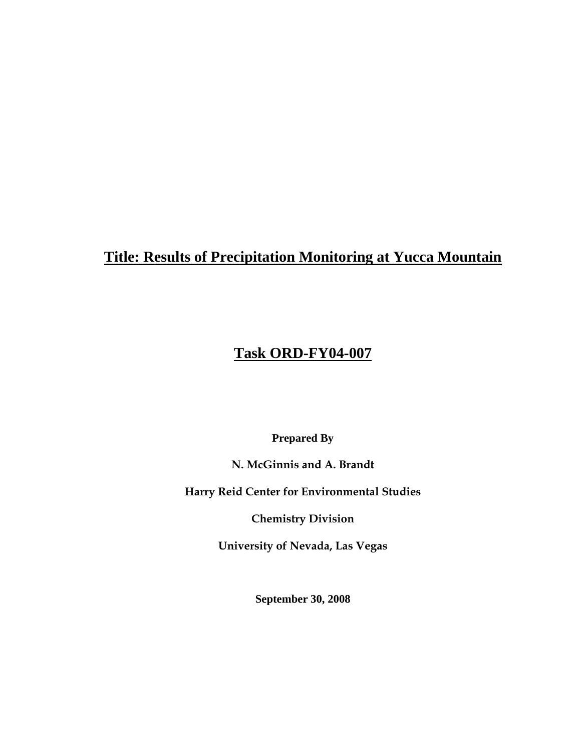# **Title: Results of Precipitation Monitoring at Yucca Mountain**

# **Task ORD-FY04-007**

**Prepared By** 

**N. McGinnis and A. Brandt**

**Harry Reid Center for Environmental Studies**

**Chemistry Division**

**University of Nevada, Las Vegas**

**September 30, 2008**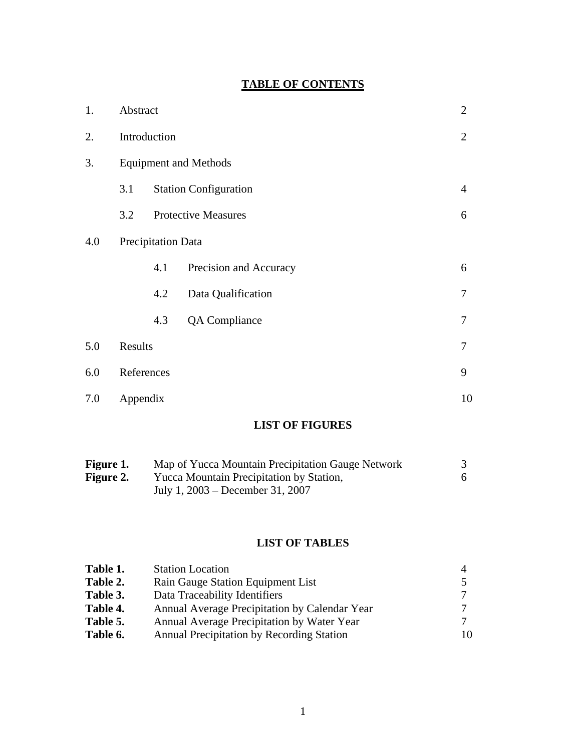## **TABLE OF CONTENTS**

| 1.  |              | $\overline{2}$<br>Abstract |                              |                |  |  |  |  |  |
|-----|--------------|----------------------------|------------------------------|----------------|--|--|--|--|--|
| 2.  | Introduction |                            |                              | $\overline{2}$ |  |  |  |  |  |
| 3.  |              |                            | <b>Equipment and Methods</b> |                |  |  |  |  |  |
|     | 3.1          |                            | <b>Station Configuration</b> | $\overline{4}$ |  |  |  |  |  |
|     | 3.2          | <b>Protective Measures</b> |                              |                |  |  |  |  |  |
| 4.0 |              | Precipitation Data         |                              |                |  |  |  |  |  |
|     |              | 4.1                        | Precision and Accuracy       | 6              |  |  |  |  |  |
|     |              | 4.2                        | Data Qualification           | $\tau$         |  |  |  |  |  |
|     |              | 4.3                        | <b>QA</b> Compliance         | 7              |  |  |  |  |  |
| 5.0 | Results      |                            |                              | 7              |  |  |  |  |  |
| 6.0 | References   |                            |                              | 9              |  |  |  |  |  |
| 7.0 |              | Appendix                   |                              |                |  |  |  |  |  |

# **LIST OF FIGURES**

| <b>Figure 1.</b> | Map of Yucca Mountain Precipitation Gauge Network |  |
|------------------|---------------------------------------------------|--|
| <b>Figure 2.</b> | <b>Yucca Mountain Precipitation by Station,</b>   |  |
|                  | July 1, $2003 -$ December 31, 2007                |  |

## **LIST OF TABLES**

| Table 1. | <b>Station Location</b>                       |    |
|----------|-----------------------------------------------|----|
| Table 2. | Rain Gauge Station Equipment List             |    |
| Table 3. | Data Traceability Identifiers                 |    |
| Table 4. | Annual Average Precipitation by Calendar Year |    |
| Table 5. | Annual Average Precipitation by Water Year    |    |
| Table 6. | Annual Precipitation by Recording Station     | 10 |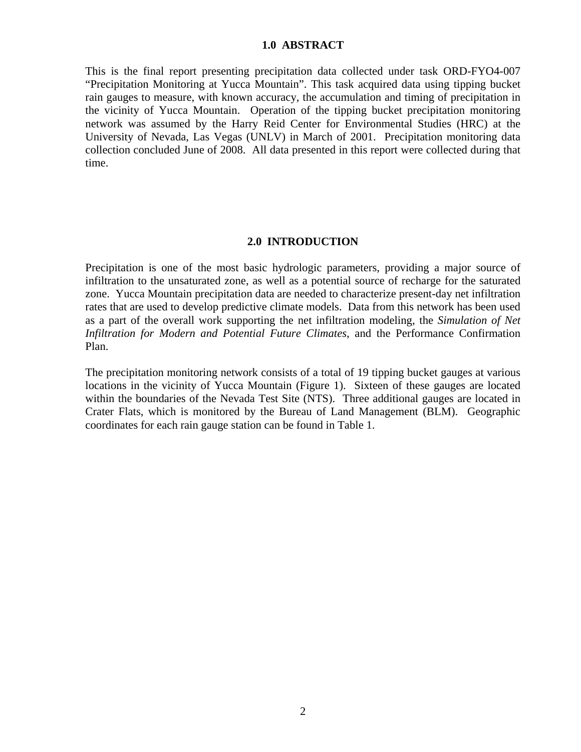#### **1.0 ABSTRACT**

This is the final report presenting precipitation data collected under task ORD-FYO4-007 "Precipitation Monitoring at Yucca Mountain". This task acquired data using tipping bucket rain gauges to measure, with known accuracy, the accumulation and timing of precipitation in the vicinity of Yucca Mountain. Operation of the tipping bucket precipitation monitoring network was assumed by the Harry Reid Center for Environmental Studies (HRC) at the University of Nevada, Las Vegas (UNLV) in March of 2001. Precipitation monitoring data collection concluded June of 2008. All data presented in this report were collected during that time.

#### **2.0 INTRODUCTION**

Precipitation is one of the most basic hydrologic parameters, providing a major source of infiltration to the unsaturated zone, as well as a potential source of recharge for the saturated zone. Yucca Mountain precipitation data are needed to characterize present-day net infiltration rates that are used to develop predictive climate models. Data from this network has been used as a part of the overall work supporting the net infiltration modeling, the *Simulation of Net Infiltration for Modern and Potential Future Climates*, and the Performance Confirmation Plan.

The precipitation monitoring network consists of a total of 19 tipping bucket gauges at various locations in the vicinity of Yucca Mountain (Figure 1). Sixteen of these gauges are located within the boundaries of the Nevada Test Site (NTS). Three additional gauges are located in Crater Flats, which is monitored by the Bureau of Land Management (BLM). Geographic coordinates for each rain gauge station can be found in Table 1.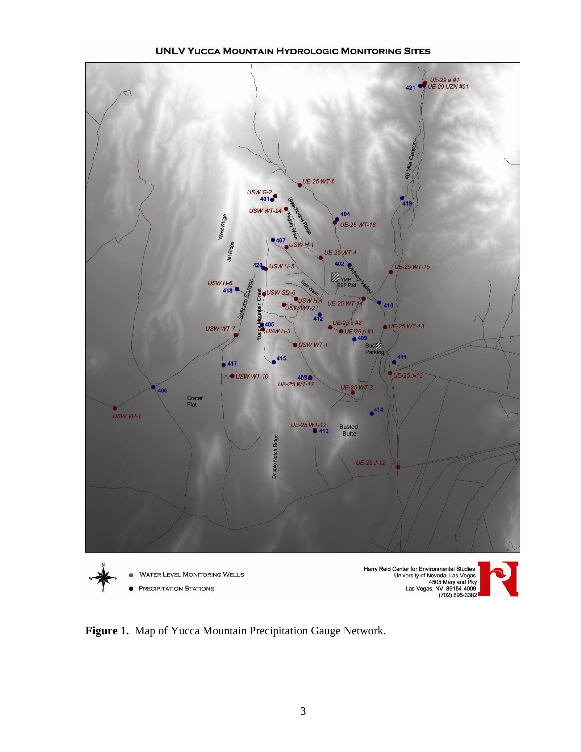

**UNLV YUCCA MOUNTAIN HYDROLOGIC MONITORING SITES** 

**Figure 1.** Map of Yucca Mountain Precipitation Gauge Network.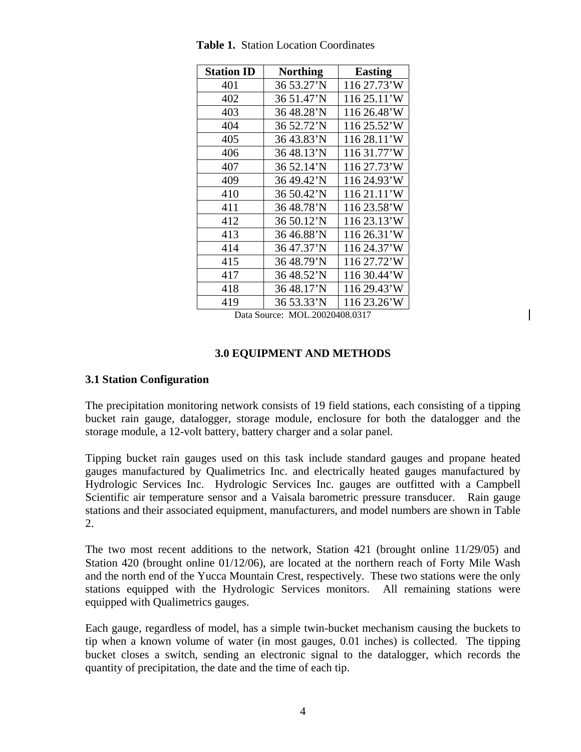| <b>Station ID</b> | <b>Northing</b> | <b>Easting</b> |
|-------------------|-----------------|----------------|
| 401               | 36 53.27'N      | 116 27.73'W    |
| 402               | 36 51.47'N      | 116 25.11'W    |
| 403               | 3648.28'N       | 116 26.48'W    |
| 404               | 36 52.72'N      | 116 25.52'W    |
| 405               | 36 43.83'N      | 116 28.11'W    |
| 406               | 36 48.13'N      | 116 31.77'W    |
| 407               | 36 52.14'N      | 116 27.73'W    |
| 409               | 36 49.42'N      | 116 24.93'W    |
| 410               | 36 50.42'N      | 116 21.11'W    |
| 411               | 36 48.78'N      | 116 23.58'W    |
| 412               | 36 50.12'N      | 116 23.13'W    |
| 413               | 36 46.88'N      | 116 26.31'W    |
| 414               | 36 47.37'N      | 116 24.37'W    |
| 415               | 36 48.79'N      | 116 27.72'W    |
| 417               | 36 48.52'N      | 116 30.44'W    |
| 418               | 36 48.17'N      | 116 29.43'W    |
| 419               | 36 53.33'N      | 116 23.26'W    |

**Table 1.** Station Location Coordinates

Data Source: MOL.20020408.0317

#### **3.0 EQUIPMENT AND METHODS**

#### **3.1 Station Configuration**

The precipitation monitoring network consists of 19 field stations, each consisting of a tipping bucket rain gauge, datalogger, storage module, enclosure for both the datalogger and the storage module, a 12-volt battery, battery charger and a solar panel.

Tipping bucket rain gauges used on this task include standard gauges and propane heated gauges manufactured by Qualimetrics Inc. and electrically heated gauges manufactured by Hydrologic Services Inc. Hydrologic Services Inc. gauges are outfitted with a Campbell Scientific air temperature sensor and a Vaisala barometric pressure transducer. Rain gauge stations and their associated equipment, manufacturers, and model numbers are shown in Table 2.

The two most recent additions to the network, Station 421 (brought online 11/29/05) and Station 420 (brought online 01/12/06), are located at the northern reach of Forty Mile Wash and the north end of the Yucca Mountain Crest, respectively. These two stations were the only stations equipped with the Hydrologic Services monitors. All remaining stations were equipped with Qualimetrics gauges.

Each gauge, regardless of model, has a simple twin-bucket mechanism causing the buckets to tip when a known volume of water (in most gauges, 0.01 inches) is collected. The tipping bucket closes a switch, sending an electronic signal to the datalogger, which records the quantity of precipitation, the date and the time of each tip.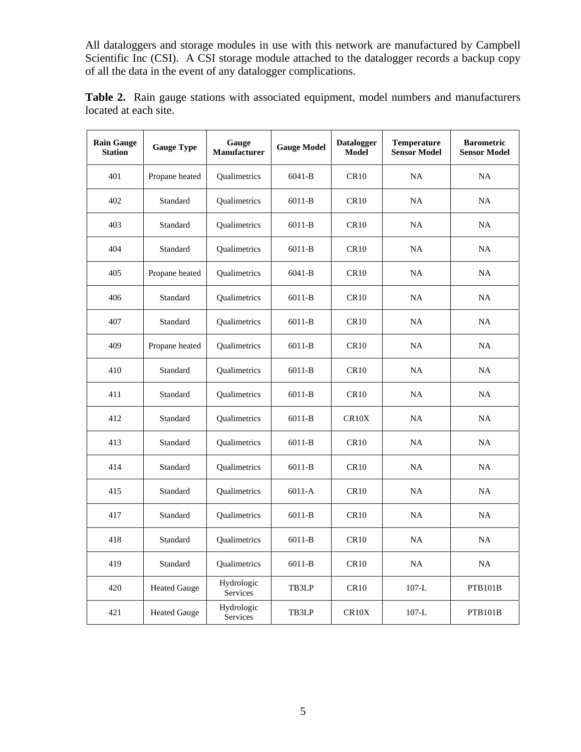All dataloggers and storage modules in use with this network are manufactured by Campbell Scientific Inc (CSI). A CSI storage module attached to the datalogger records a backup copy of all the data in the event of any datalogger complications.

|                       |  |  | <b>Table 2.</b> Rain gauge stations with associated equipment, model numbers and manufacturers |  |  |  |
|-----------------------|--|--|------------------------------------------------------------------------------------------------|--|--|--|
| located at each site. |  |  |                                                                                                |  |  |  |

| <b>Rain Gauge</b><br><b>Station</b> | <b>Gauge Type</b>   | Gauge<br><b>Manufacturer</b> | <b>Gauge Model</b> | <b>Datalogger</b><br><b>Model</b> | <b>Temperature</b><br><b>Sensor Model</b> | <b>Barometric</b><br><b>Sensor Model</b> |
|-------------------------------------|---------------------|------------------------------|--------------------|-----------------------------------|-------------------------------------------|------------------------------------------|
| 401                                 | Propane heated      | Qualimetrics                 | $6041-B$           | CR10                              | <b>NA</b>                                 | <b>NA</b>                                |
| 402                                 | Standard            | Qualimetrics                 | $6011-B$           | CR10                              | <b>NA</b>                                 | NA                                       |
| 403                                 | Standard            | Qualimetrics                 | $6011 - B$         | CR10                              | NA                                        | NA                                       |
| 404                                 | Standard            | Qualimetrics                 | $6011-B$           | CR10                              | <b>NA</b>                                 | <b>NA</b>                                |
| 405                                 | Propane heated      | Qualimetrics                 | 6041-B             | CR10                              | <b>NA</b>                                 | NA                                       |
| 406                                 | Standard            | Qualimetrics                 | $6011 - B$         | CR10                              | NA                                        | NA                                       |
| 407                                 | Standard            | Qualimetrics                 | $6011 - B$         | CR <sub>10</sub>                  | <b>NA</b>                                 | <b>NA</b>                                |
| 409                                 | Propane heated      | Qualimetrics                 | 6011-B             | CR10                              | <b>NA</b>                                 | NA                                       |
| 410                                 | Standard            | Qualimetrics                 | $6011 - B$         | CR10                              | NA                                        | <b>NA</b>                                |
| 411                                 | Standard            | Qualimetrics                 | $6011-B$           | CR10                              | NA                                        | NA                                       |
| 412                                 | Standard            | Qualimetrics                 | $6011 - B$         | CR <sub>10</sub> X                | NA                                        | NA                                       |
| 413                                 | Standard            | Qualimetrics                 | $6011-B$           | CR10                              | <b>NA</b>                                 | <b>NA</b>                                |
| 414                                 | Standard            | Qualimetrics                 | $6011-B$           | CR10                              | NA                                        | <b>NA</b>                                |
| 415                                 | Standard            | Qualimetrics                 | $6011-A$           | CR10                              | NA                                        | NA                                       |
| 417                                 | Standard            | Qualimetrics                 | $6011-B$           | CR10                              | <b>NA</b>                                 | <b>NA</b>                                |
| 418                                 | Standard            | Qualimetrics                 | $6011-B$           | CR10                              | NA                                        | NA                                       |
| 419                                 | Standard            | Qualimetrics                 | $6011 - B$         | CR10                              | NA                                        | NA                                       |
| 420                                 | <b>Heated Gauge</b> | Hydrologic<br>Services       | TB3LP              | CR10                              | $107-L$                                   | <b>PTB101B</b>                           |
| 421                                 | <b>Heated Gauge</b> | Hydrologic<br>Services       | TB3LP              | CR <sub>10</sub> X                | $107-L$                                   | PTB101B                                  |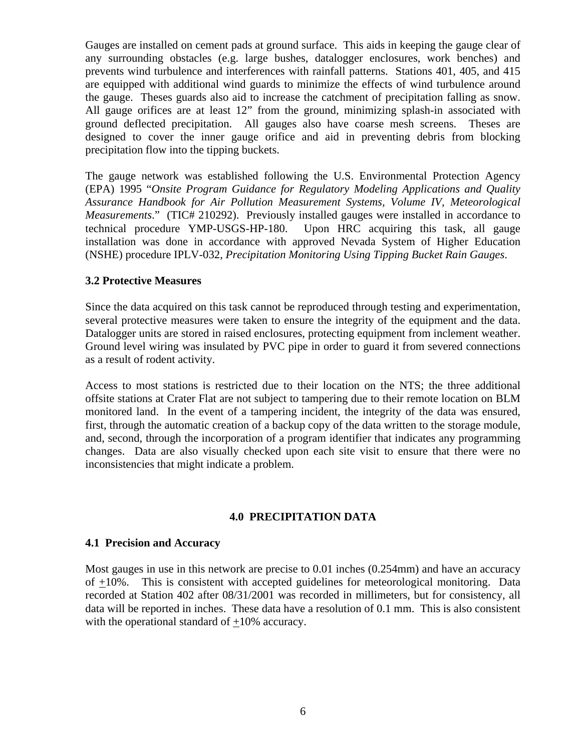Gauges are installed on cement pads at ground surface. This aids in keeping the gauge clear of any surrounding obstacles (e.g. large bushes, datalogger enclosures, work benches) and prevents wind turbulence and interferences with rainfall patterns. Stations 401, 405, and 415 are equipped with additional wind guards to minimize the effects of wind turbulence around the gauge. Theses guards also aid to increase the catchment of precipitation falling as snow. All gauge orifices are at least 12" from the ground, minimizing splash-in associated with ground deflected precipitation. All gauges also have coarse mesh screens. Theses are designed to cover the inner gauge orifice and aid in preventing debris from blocking precipitation flow into the tipping buckets.

The gauge network was established following the U.S. Environmental Protection Agency (EPA) 1995 "*Onsite Program Guidance for Regulatory Modeling Applications and Quality Assurance Handbook for Air Pollution Measurement Systems, Volume IV, Meteorological Measurements*." (TIC# 210292). Previously installed gauges were installed in accordance to technical procedure YMP-USGS-HP-180. Upon HRC acquiring this task, all gauge installation was done in accordance with approved Nevada System of Higher Education (NSHE) procedure IPLV-032, *Precipitation Monitoring Using Tipping Bucket Rain Gauges*.

### **3.2 Protective Measures**

Since the data acquired on this task cannot be reproduced through testing and experimentation, several protective measures were taken to ensure the integrity of the equipment and the data. Datalogger units are stored in raised enclosures, protecting equipment from inclement weather. Ground level wiring was insulated by PVC pipe in order to guard it from severed connections as a result of rodent activity.

Access to most stations is restricted due to their location on the NTS; the three additional offsite stations at Crater Flat are not subject to tampering due to their remote location on BLM monitored land. In the event of a tampering incident, the integrity of the data was ensured, first, through the automatic creation of a backup copy of the data written to the storage module, and, second, through the incorporation of a program identifier that indicates any programming changes. Data are also visually checked upon each site visit to ensure that there were no inconsistencies that might indicate a problem.

## **4.0 PRECIPITATION DATA**

#### **4.1 Precision and Accuracy**

Most gauges in use in this network are precise to 0.01 inches (0.254mm) and have an accuracy of +10%. This is consistent with accepted guidelines for meteorological monitoring. Data recorded at Station 402 after 08/31/2001 was recorded in millimeters, but for consistency, all data will be reported in inches. These data have a resolution of 0.1 mm. This is also consistent with the operational standard of  $\pm 10\%$  accuracy.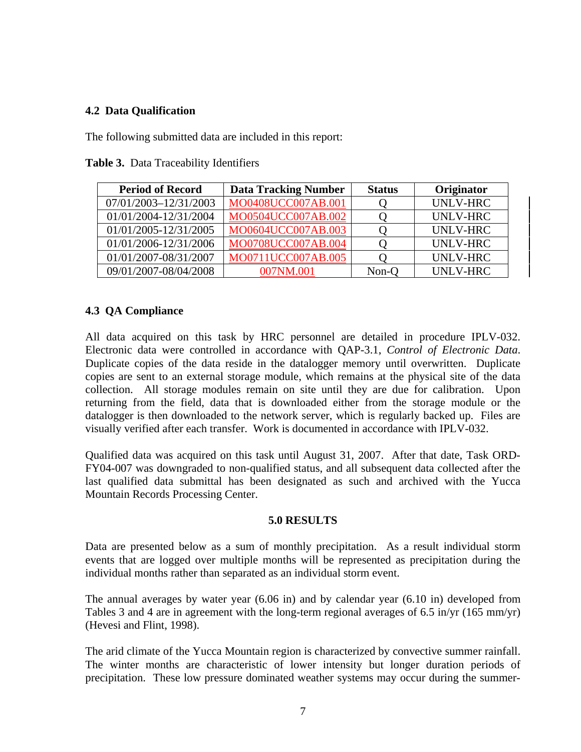## **4.2 Data Qualification**

The following submitted data are included in this report:

| <b>Period of Record</b> | <b>Data Tracking Number</b> | <b>Status</b> | Originator      |
|-------------------------|-----------------------------|---------------|-----------------|
| 07/01/2003-12/31/2003   | MO0408UCC007AB.001          |               | <b>UNLV-HRC</b> |
| 01/01/2004-12/31/2004   | MO0504UCC007AB.002          |               | <b>UNLV-HRC</b> |
| 01/01/2005-12/31/2005   | MO0604UCC007AB.003          |               | <b>UNLV-HRC</b> |
| 01/01/2006-12/31/2006   | MO0708UCC007AB.004          |               | UNLV-HRC        |
| 01/01/2007-08/31/2007   | MO0711UCC007AB.005          |               | UNLV-HRC        |
| 09/01/2007-08/04/2008   | 007NM.001                   | Non-Q         | <b>UNLV-HRC</b> |

**Table 3.** Data Traceability Identifiers

## **4.3 QA Compliance**

All data acquired on this task by HRC personnel are detailed in procedure IPLV-032. Electronic data were controlled in accordance with QAP-3.1, *Control of Electronic Data*. Duplicate copies of the data reside in the datalogger memory until overwritten. Duplicate copies are sent to an external storage module, which remains at the physical site of the data collection. All storage modules remain on site until they are due for calibration. Upon returning from the field, data that is downloaded either from the storage module or the datalogger is then downloaded to the network server, which is regularly backed up. Files are visually verified after each transfer. Work is documented in accordance with IPLV-032.

Qualified data was acquired on this task until August 31, 2007. After that date, Task ORD-FY04-007 was downgraded to non-qualified status, and all subsequent data collected after the last qualified data submittal has been designated as such and archived with the Yucca Mountain Records Processing Center.

### **5.0 RESULTS**

Data are presented below as a sum of monthly precipitation. As a result individual storm events that are logged over multiple months will be represented as precipitation during the individual months rather than separated as an individual storm event.

The annual averages by water year (6.06 in) and by calendar year (6.10 in) developed from Tables 3 and 4 are in agreement with the long-term regional averages of 6.5 in/yr (165 mm/yr) (Hevesi and Flint, 1998).

The arid climate of the Yucca Mountain region is characterized by convective summer rainfall. The winter months are characteristic of lower intensity but longer duration periods of precipitation. These low pressure dominated weather systems may occur during the summer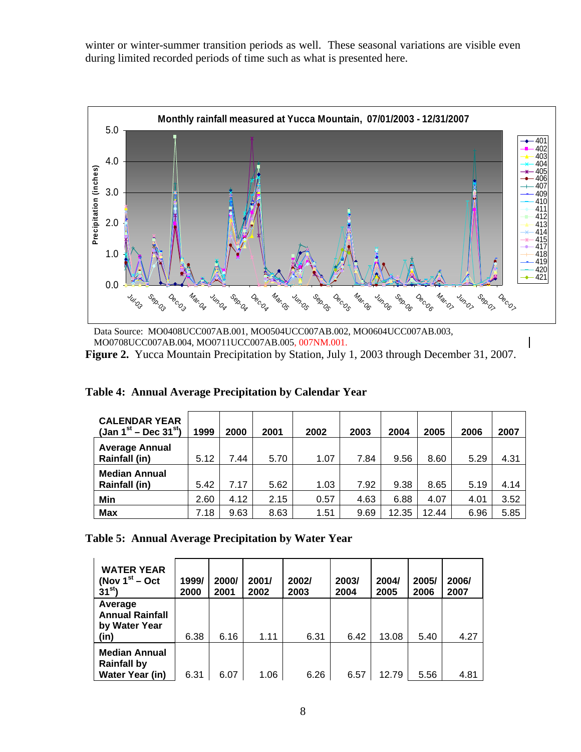winter or winter-summer transition periods as well. These seasonal variations are visible even during limited recorded periods of time such as what is presented here.



Data Source: MO0408UCC007AB.001, MO0504UCC007AB.002, MO0604UCC007AB.003, MO0708UCC007AB.004, MO0711UCC007AB.005, 007NM.001.

**Figure 2.** Yucca Mountain Precipitation by Station, July 1, 2003 through December 31, 2007.

|  |  |  | Table 4: Annual Average Precipitation by Calendar Year |  |  |  |
|--|--|--|--------------------------------------------------------|--|--|--|
|--|--|--|--------------------------------------------------------|--|--|--|

| <b>CALENDAR YEAR</b><br>(Jan $1^{st}$ – Dec $31^{st}$ ) | 1999 | 2000 | 2001 | 2002 | 2003 | 2004  | 2005  | 2006 | 2007 |
|---------------------------------------------------------|------|------|------|------|------|-------|-------|------|------|
| <b>Average Annual</b><br><b>Rainfall (in)</b>           | 5.12 | 7.44 | 5.70 | 1.07 | 7.84 | 9.56  | 8.60  | 5.29 | 4.31 |
| <b>Median Annual</b><br><b>Rainfall (in)</b>            | 5.42 | 7.17 | 5.62 | 1.03 | 7.92 | 9.38  | 8.65  | 5.19 | 4.14 |
| Min                                                     | 2.60 | 4.12 | 2.15 | 0.57 | 4.63 | 6.88  | 4.07  | 4.01 | 3.52 |
| <b>Max</b>                                              | 7.18 | 9.63 | 8.63 | 1.51 | 9.69 | 12.35 | 12.44 | 6.96 | 5.85 |

|  | Table 5: Annual Average Precipitation by Water Year |  |  |  |
|--|-----------------------------------------------------|--|--|--|
|  |                                                     |  |  |  |

| <b>WATER YEAR</b><br>(Nov $1^{st}$ – Oct<br>$31^{st}$                | 1999/<br>2000 | 2000/<br>2001 | 2001/<br>2002 | 2002/<br>2003 | 2003/<br>2004 | 2004/<br>2005 | 2005/<br>2006 | 2006/<br>2007 |
|----------------------------------------------------------------------|---------------|---------------|---------------|---------------|---------------|---------------|---------------|---------------|
| Average<br><b>Annual Rainfall</b><br>by Water Year<br>(in)           | 6.38          | 6.16          | 1.11          | 6.31          | 6.42          | 13.08         | 5.40          | 4.27          |
| <b>Median Annual</b><br><b>Rainfall by</b><br><b>Water Year (in)</b> | 6.31          | 6.07          | 1.06          | 6.26          | 6.57          | 12.79         | 5.56          | 4.81          |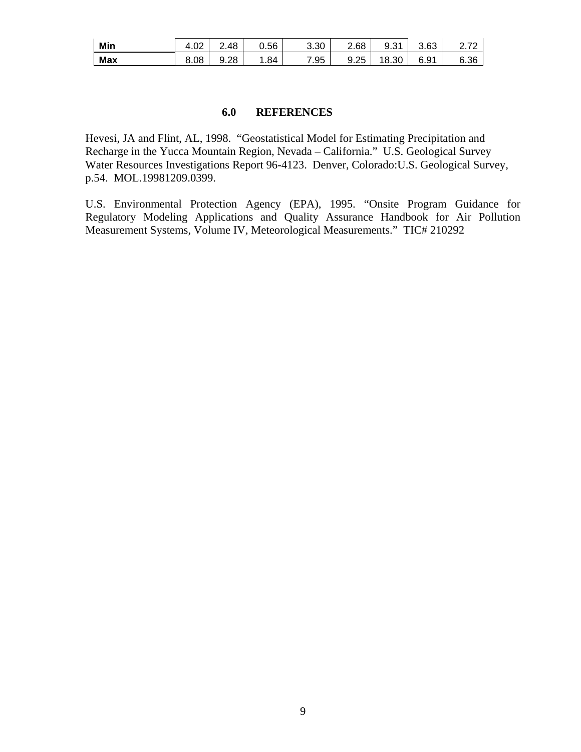| Min | $\sim$<br>4.UZ | 2.48 | 0.56 | 3.30 | 2.68             | - 24<br>a<br>ວ.ບ | 3.63              | 70   |
|-----|----------------|------|------|------|------------------|------------------|-------------------|------|
| Max | 8.08           | 9.28 | .84  | .95  | つら<br>a<br>ن ے.ت | 8.30             | 2 O 1<br>∽<br>ง.ษ | ô.36 |

#### **6.0 REFERENCES**

Hevesi, JA and Flint, AL, 1998. "Geostatistical Model for Estimating Precipitation and Recharge in the Yucca Mountain Region, Nevada – California." U.S. Geological Survey Water Resources Investigations Report 96-4123. Denver, Colorado:U.S. Geological Survey, p.54. MOL.19981209.0399.

U.S. Environmental Protection Agency (EPA), 1995. "Onsite Program Guidance for Regulatory Modeling Applications and Quality Assurance Handbook for Air Pollution Measurement Systems, Volume IV, Meteorological Measurements." TIC# 210292